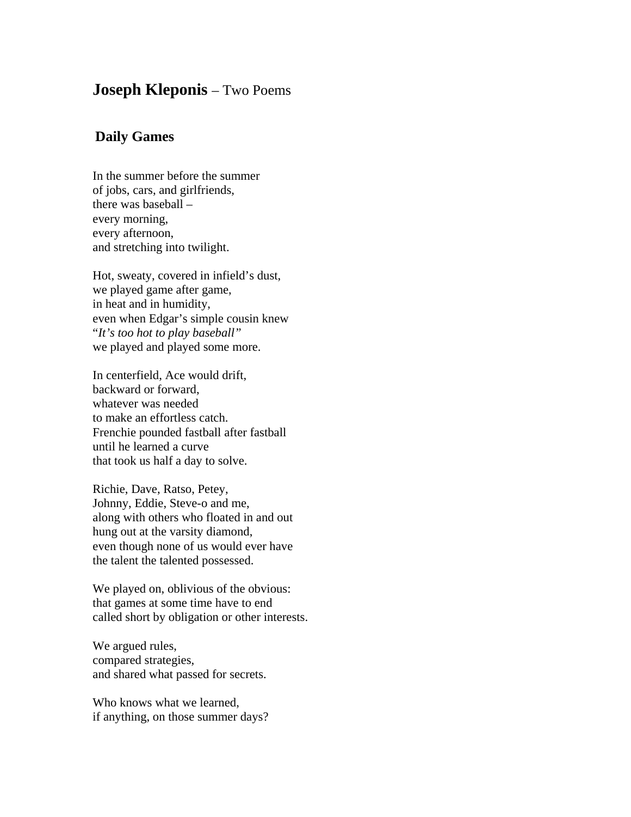## **Joseph Kleponis** – Two Poems

## **Daily Games**

In the summer before the summer of jobs, cars, and girlfriends, there was baseball – every morning, every afternoon, and stretching into twilight.

Hot, sweaty, covered in infield's dust, we played game after game, in heat and in humidity, even when Edgar's simple cousin knew "*It's too hot to play baseball"* we played and played some more.

In centerfield, Ace would drift, backward or forward, whatever was needed to make an effortless catch. Frenchie pounded fastball after fastball until he learned a curve that took us half a day to solve.

Richie, Dave, Ratso, Petey, Johnny, Eddie, Steve-o and me, along with others who floated in and out hung out at the varsity diamond, even though none of us would ever have the talent the talented possessed.

We played on, oblivious of the obvious: that games at some time have to end called short by obligation or other interests.

We argued rules, compared strategies, and shared what passed for secrets.

Who knows what we learned, if anything, on those summer days?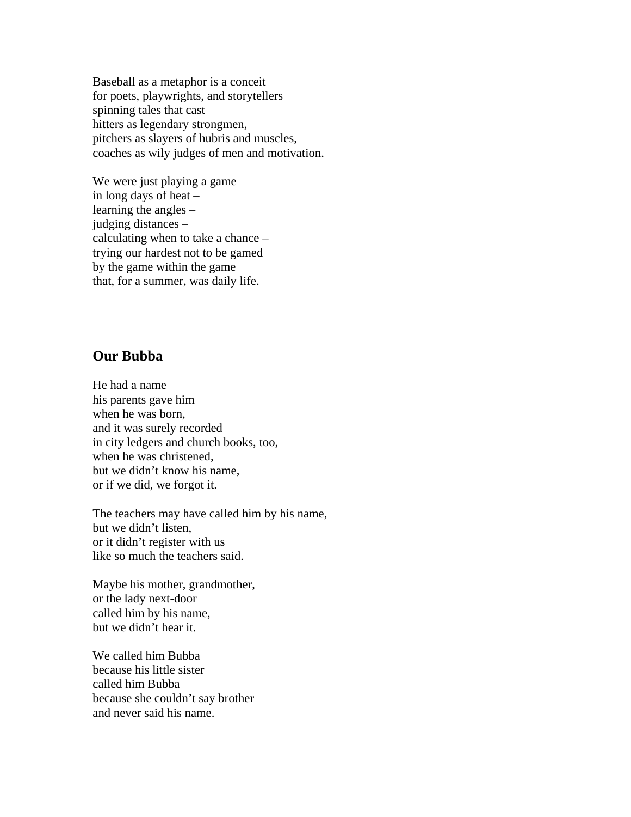Baseball as a metaphor is a conceit for poets, playwrights, and storytellers spinning tales that cast hitters as legendary strongmen, pitchers as slayers of hubris and muscles, coaches as wily judges of men and motivation.

We were just playing a game in long days of heat – learning the angles – judging distances – calculating when to take a chance – trying our hardest not to be gamed by the game within the game that, for a summer, was daily life.

## **Our Bubba**

He had a name his parents gave him when he was born, and it was surely recorded in city ledgers and church books, too, when he was christened, but we didn't know his name, or if we did, we forgot it.

The teachers may have called him by his name, but we didn't listen, or it didn't register with us like so much the teachers said.

Maybe his mother, grandmother, or the lady next-door called him by his name, but we didn't hear it.

We called him Bubba because his little sister called him Bubba because she couldn't say brother and never said his name.